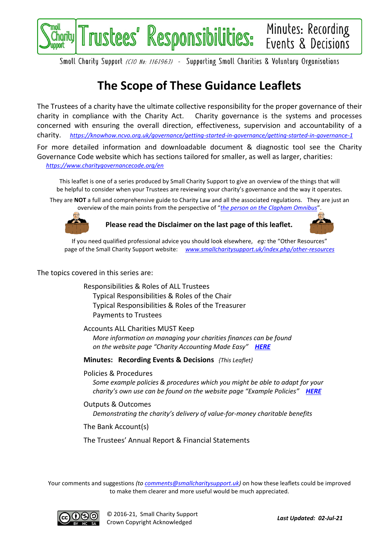

Smoll Chority Support (CIO No: 1161963) - Supporting Smoll Chorities & Voluntory Orgonisotions

# **The Scope of These Guidance Leaflets**

The Trustees of a charity have the ultimate collective responsibility for the proper governance of their charity in compliance with the Charity Act. Charity governance is the systems and processes concerned with ensuring the overall direction, effectiveness, supervision and accountability of a charity. *<https://knowhow.ncvo.org.uk/governance/getting-started-in-governance/getting-started-in-governance-1>*

For more detailed information and downloadable document & diagnostic tool see the Charity Governance Code website which has sections tailored for smaller, as well as larger, charities: *<https://www.charitygovernancecode.org/en>*

This leaflet is one of a series produced by Small Charity Support to give an overview of the things that will be helpful to consider when your Trustees are reviewing your charity's governance and the way it operates.

They are **NOT** a full and comprehensive guide to Charity Law and all the associated regulations. They are just an overview of the main points from the perspective of "*[the person on the Clapham Omnibus](https://en.wikipedia.org/wiki/The_man_on_the_Clapham_omnibus)*".



**Please read the Disclaimer on the last page of this leaflet.**



If you need qualified professional advice you should look elsewhere, *eg:* the "Other Resources" page of the Small Charity Support website: *[www.smallcharitysupport.uk/index.php/other-resources](http://www.smallcharitysupport.uk/index.php/other-resources)*

#### The topics covered in this series are:

Responsibilities & Roles of ALL Trustees Typical Responsibilities & Roles of the Chair Typical Responsibilities & Roles of the Treasurer Payments to Trustees

Accounts ALL Charities MUST Keep *More information on managing your charities finances can be found on the website page "Charity Accounting Made Easy" [HERE](https://www.smallcharitysupport.uk/index.php/accountsmadeeasy)*

**Minutes: Recording Events & Decisions** *{This Leaflet}*

Policies & Procedures

*Some example policies & procedures which you might be able to adapt for your charity's own use can be found on the website page "Example Policies" [HERE](https://www.smallcharitysupport.uk/index.php/example-policies)*

Outputs & Outcomes *Demonstrating the charity's delivery of value-for-money charitable benefits*

The Bank Account(s)

The Trustees' Annual Report & Financial Statements

Your comments and suggestions *(to [comments@smallcharitysupport.uk\)](mailto:comments@smallcharitysupport.uk)* on how these leaflets could be improved to make them clearer and more useful would be much appreciated.

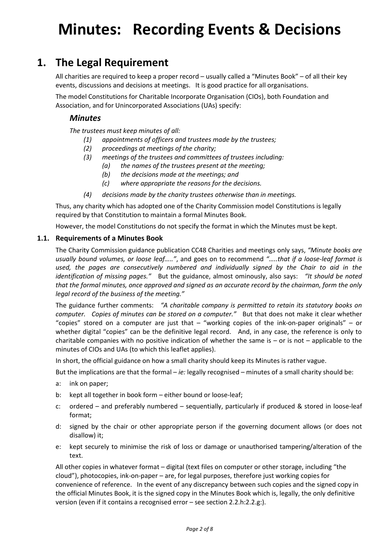# **Minutes: Recording Events & Decisions**

### **1. The Legal Requirement**

All charities are required to keep a proper record – usually called a "Minutes Book" – of all their key events, discussions and decisions at meetings. It is good practice for all organisations.

The model Constitutions for Charitable Incorporate Organisation (CIOs), both Foundation and Association, and for Unincorporated Associations (UAs) specify:

#### *Minutes*

*The trustees must keep minutes of all:*

- *(1) appointments of officers and trustees made by the trustees;*
- *(2) proceedings at meetings of the charity;*
- *(3) meetings of the trustees and committees of trustees including:*
	- *(a) the names of the trustees present at the meeting;*
	- *(b) the decisions made at the meetings; and*
	- *(c) where appropriate the reasons for the decisions.*
- *(4) decisions made by the charity trustees otherwise than in meetings.*

Thus, any charity which has adopted one of the Charity Commission model Constitutions is legally required by that Constitution to maintain a formal Minutes Book.

However, the model Constitutions do not specify the format in which the Minutes must be kept.

#### **1.1. Requirements of a Minutes Book**

The Charity Commission guidance publication CC48 Charities and meetings only says, *"Minute books are usually bound volumes, or loose leaf….."*, and goes on to recommend *"…..that if a loose-leaf format is used, the pages are consecutively numbered and individually signed by the Chair to aid in the identification of missing pages."* But the guidance, almost ominously, also says: *"It should be noted that the formal minutes, once approved and signed as an accurate record by the chairman, form the only legal record of the business of the meeting."*

The guidance further comments: *"A charitable company is permitted to retain its statutory books on computer. Copies of minutes can be stored on a computer."* But that does not make it clear whether "copies" stored on a computer are just that – "working copies of the ink-on-paper originals" – or whether digital "copies" can be the definitive legal record. And, in any case, the reference is only to charitable companies with no positive indication of whether the same is  $-$  or is not  $-$  applicable to the minutes of CIOs and UAs (to which this leaflet applies).

In short, the official guidance on how a small charity should keep its Minutes is rather vague.

But the implications are that the formal – *ie:* legally recognised – minutes of a small charity should be:

- a: ink on paper;
- b: kept all together in book form either bound or loose-leaf;
- c: ordered and preferably numbered sequentially, particularly if produced & stored in loose-leaf format;
- d: signed by the chair or other appropriate person if the governing document allows (or does not disallow) it;
- e: kept securely to minimise the risk of loss or damage or unauthorised tampering/alteration of the text.

All other copies in whatever format – digital (text files on computer or other storage, including "the cloud"), photocopies, ink-on-paper – are, for legal purposes, therefore just working copies for convenience of reference. In the event of any discrepancy between such copies and the signed copy in the official Minutes Book, it is the signed copy in the Minutes Book which is, legally, the only definitive version (even if it contains a recognised error – see section [2.2.h:](#page-4-0)[2.2.g:\)](#page-4-1).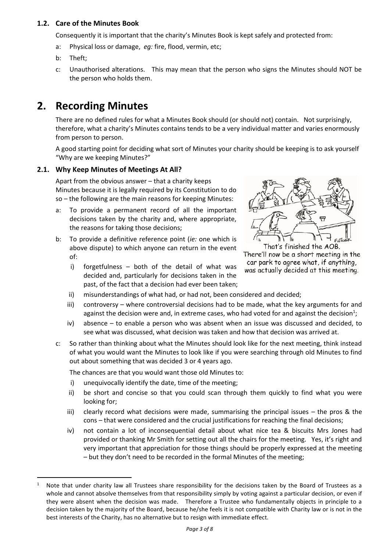#### **1.2. Care of the Minutes Book**

Consequently it is important that the charity's Minutes Book is kept safely and protected from:

- a: Physical loss or damage, *eg:* fire, flood, vermin, etc;
- b: Theft;
- c: Unauthorised alterations. This may mean that the person who signs the Minutes should NOT be the person who holds them.

## **2. Recording Minutes**

There are no defined rules for what a Minutes Book should (or should not) contain. Not surprisingly, therefore, what a charity's Minutes contains tends to be a very individual matter and varies enormously from person to person.

A good starting point for deciding what sort of Minutes your charity should be keeping is to ask yourself "Why are we keeping Minutes?"

#### **2.1. Why Keep Minutes of Meetings At All?**

Apart from the obvious answer – that a charity keeps Minutes because it is legally required by its Constitution to do so – the following are the main reasons for keeping Minutes:

- a: To provide a permanent record of all the important decisions taken by the charity and, where appropriate, the reasons for taking those decisions;
- b: To provide a definitive reference point (*ie:* one which is above dispute) to which anyone can return in the event of:
	- i) forgetfulness both of the detail of what was decided and, particularly for decisions taken in the past, of the fact that a decision had ever been taken;



<span id="page-2-0"></span>That's finished the AOB. There'll now be a short meeting in the car park to agree what, if anything, was actually decided at this meeting.

- ii) misunderstandings of what had, or had not, been considered and decided;
- iii) controversy where controversial decisions had to be made, what the key arguments for and against the decision were and, in extreme cases, who had voted for and against the decision<sup>1</sup>;
- iv) absence to enable a person who was absent when an issue was discussed and decided, to see what was discussed, what decision was taken and how that decision was arrived at.
- c: So rather than thinking about what the Minutes should look like for the next meeting, think instead of what you would want the Minutes to look like if you were searching through old Minutes to find out about something that was decided 3 or 4 years ago.

The chances are that you would want those old Minutes to:

- i) unequivocally identify the date, time of the meeting;
- ii) be short and concise so that you could scan through them quickly to find what you were looking for;
- iii) clearly record what decisions were made, summarising the principal issues the pros & the cons – that were considered and the crucial justifications for reaching the final decisions;
- iv) not contain a lot of inconsequential detail about what nice tea & biscuits Mrs Jones had provided or thanking Mr Smith for setting out all the chairs for the meeting. Yes, it's right and very important that appreciation for those things should be properly expressed at the meeting – but they don't need to be recorded in the formal Minutes of the meeting;

Note that under charity law all Trustees share responsibility for the decisions taken by the Board of Trustees as a whole and cannot absolve themselves from that responsibility simply by voting against a particular decision, or even if they were absent when the decision was made. Therefore a Trustee who fundamentally objects in principle to a decision taken by the majority of the Board, because he/she feels it is not compatible with Charity law or is not in the best interests of the Charity, has no alternative but to resign with immediate effect.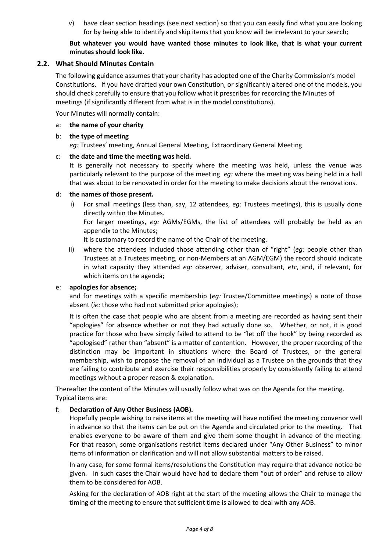v) have clear section headings (see next section) so that you can easily find what you are looking for by being able to identify and skip items that you know will be irrelevant to your search;

#### **But whatever you would have wanted those minutes to look like, that is what your current minutes should look like.**

#### <span id="page-3-0"></span>**2.2. What Should Minutes Contain**

The following guidance assumes that your charity has adopted one of the Charity Commission's model Constitutions. If you have drafted your own Constitution, or significantly altered one of the models, you should check carefully to ensure that you follow what it prescribes for recording the Minutes of meetings (if significantly different from what is in the model constitutions).

Your Minutes will normally contain:

a: **the name of your charity**

#### b: **the type of meeting**

*eg:* Trustees' meeting, Annual General Meeting, Extraordinary General Meeting

#### c: **the date and time the meeting was held.**

It is generally not necessary to specify where the meeting was held, unless the venue was particularly relevant to the purpose of the meeting *eg:* where the meeting was being held in a hall that was about to be renovated in order for the meeting to make decisions about the renovations.

#### d: **the names of those present.**

i) For small meetings (less than, say, 12 attendees, *eg:* Trustees meetings), this is usually done directly within the Minutes.

For larger meetings, *eg:* AGMs/EGMs, the list of attendees will probably be held as an appendix to the Minutes;

It is customary to record the name of the Chair of the meeting.

ii) where the attendees included those attending other than of "right" (*eg:* people other than Trustees at a Trustees meeting, or non-Members at an AGM/EGM) the record should indicate in what capacity they attended *eg:* observer, adviser, consultant, *etc*, and, if relevant, for which items on the agenda;

#### <span id="page-3-2"></span>e: **apologies for absence;**

and for meetings with a specific membership (*eg:* Trustee/Committee meetings) a note of those absent (*ie:* those who had not submitted prior apologies);

It is often the case that people who are absent from a meeting are recorded as having sent their "apologies" for absence whether or not they had actually done so. Whether, or not, it is good practice for those who have simply failed to attend to be "let off the hook" by being recorded as "apologised" rather than "absent" is a matter of contention. However, the proper recording of the distinction may be important in situations where the Board of Trustees, or the general membership, wish to propose the removal of an individual as a Trustee on the grounds that they are failing to contribute and exercise their responsibilities properly by consistently failing to attend meetings without a proper reason & explanation.

Thereafter the content of the Minutes will usually follow what was on the Agenda for the meeting. Typical items are:

#### <span id="page-3-1"></span>f: **Declaration of Any Other Business (AOB).**

Hopefully people wishing to raise items at the meeting will have notified the meeting convenor well in advance so that the items can be put on the Agenda and circulated prior to the meeting. That enables everyone to be aware of them and give them some thought in advance of the meeting. For that reason, some organisations restrict items declared under "Any Other Business" to minor items of information or clarification and will not allow substantial matters to be raised.

In any case, for some formal items/resolutions the Constitution may require that advance notice be given. In such cases the Chair would have had to declare them "out of order" and refuse to allow them to be considered for AOB.

Asking for the declaration of AOB right at the start of the meeting allows the Chair to manage the timing of the meeting to ensure that sufficient time is allowed to deal with any AOB.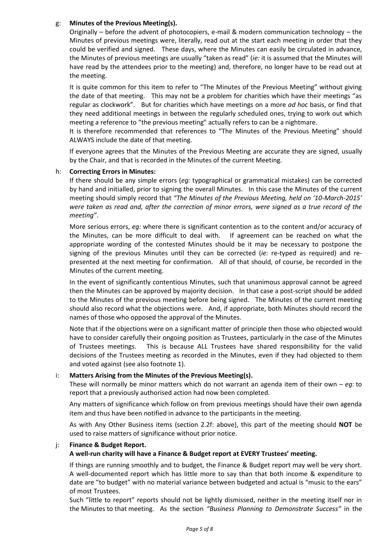#### <span id="page-4-1"></span>g: **Minutes of the Previous Meeting(s).**

Originally – before the advent of photocopiers, e-mail & modern communication technology – the Minutes of previous meetings were, literally, read out at the start each meeting in order that they could be verified and signed. These days, where the Minutes can easily be circulated in advance, the Minutes of previous meetings are usually "taken as read" (*ie:* it is assumed that the Minutes will have read by the attendees prior to the meeting) and, therefore, no longer have to be read out at the meeting.

It is quite common for this item to refer to "The Minutes of the Previous Meeting" without giving the date of that meeting. This may not be a problem for charities which have their meetings "as regular as clockwork". But for charities which have meetings on a more *ad hoc* basis, or find that they need additional meetings in between the regularly scheduled ones, trying to work out which meeting a reference to "the previous meeting" actually refers to can be a nightmare.

It is therefore recommended that references to "The Minutes of the Previous Meeting" should ALWAYS include the date of that meeting.

If everyone agrees that the Minutes of the Previous Meeting are accurate they are signed, usually by the Chair, and that is recorded in the Minutes of the current Meeting.

#### <span id="page-4-0"></span>h: **Correcting Errors in Minutes:**

If there should be any simple errors (*eg:* typographical or grammatical mistakes) can be corrected by hand and initialled, prior to signing the overall Minutes. In this case the Minutes of the current meeting should simply record that *"The Minutes of the Previous Meeting, held on '10-March-2015' were taken as read and, after the correction of minor errors, were signed as a true record of the meeting"*.

More serious errors, *eg:* where there is significant contention as to the content and/or accuracy of the Minutes, can be more difficult to deal with. If agreement can be reached on what the appropriate wording of the contested Minutes should be it may be necessary to postpone the signing of the previous Minutes until they can be corrected (*ie:* re-typed as required) and represented at the next meeting for confirmation. All of that should, of course, be recorded in the Minutes of the current meeting.

In the event of significantly contentious Minutes, such that unanimous approval cannot be agreed then the Minutes can be approved by majority decision. In that case a post-script should be added to the Minutes of the previous meeting before being signed. The Minutes of the current meeting should also record what the objections were. And, if appropriate, both Minutes should record the names of those who opposed the approval of the Minutes.

Note that if the objections were on a significant matter of principle then those who objected would have to consider carefully their ongoing position as Trustees, particularly in the case of the Minutes of Trustees meetings. This is because ALL Trustees have shared responsibility for the valid decisions of the Trustees meeting as recorded in the Minutes, even if they had objected to them and voted against (see also footnot[e 1\)](#page-2-0).

#### i: **Matters Arising from the Minutes of the Previous Meeting(s).**

These will normally be minor matters which do not warrant an agenda item of their own – *eg:* to report that a previously authorised action had now been completed.

Any matters of significance which follow on from previous meetings should have their own agenda item and thus have been notified in advance to the participants in the meeting.

As with Any Other Business items (section [2.2](#page-3-0)[f:](#page-3-1) above), this part of the meeting should **NOT** be used to raise matters of significance without prior notice.

#### j: **Finance & Budget Report.**

#### **A well-run charity will have a Finance & Budget report at EVERY Trustees' meeting.**

If things are running smoothly and to budget, the Finance & Budget report may well be very short. A well-documented report which has little more to say than that both income & expenditure to date are "to budget" with no material variance between budgeted and actual is "music to the ears" of most Trustees.

Such "little to report" reports should not be lightly dismissed, neither in the meeting itself nor in the Minutes to that meeting. As the section *"Business Planning to Demonstrate Success"* in the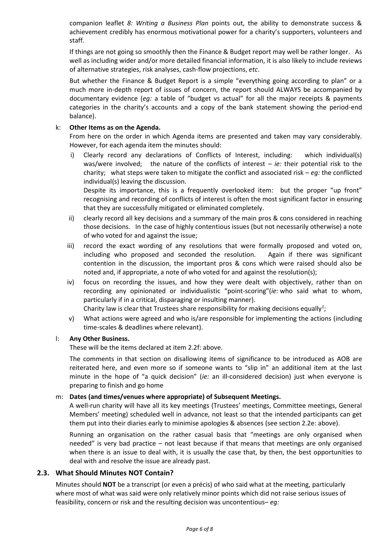companion leaflet *8: Writing a Business Plan* points out, the ability to demonstrate success & achievement credibly has enormous motivational power for a charity's supporters, volunteers and staff.

If things are not going so smoothly then the Finance & Budget report may well be rather longer. As well as including wider and/or more detailed financial information, it is also likely to include reviews of alternative strategies, risk analyses, cash-flow projections, *etc*.

But whether the Finance & Budget Report is a simple "everything going according to plan" or a much more in-depth report of issues of concern, the report should ALWAYS be accompanied by documentary evidence (*eg:* a table of "budget vs actual" for all the major receipts & payments categories in the charity's accounts and a copy of the bank statement showing the period-end balance).

#### k: **Other Items as on the Agenda.**

From here on the order in which Agenda items are presented and taken may vary considerably. However, for each agenda item the minutes should:

i) Clearly record any declarations of Conflicts of Interest, including: which individual(s) was/were involved; the nature of the conflicts of interest – *ie:* their potential risk to the charity; what steps were taken to mitigate the conflict and associated risk – *eg:* the conflicted individual(s) leaving the discussion.

Despite its importance, this is a frequently overlooked item: but the proper "up front" recognising and recording of conflicts of interest is often the most significant factor in ensuring that they are successfully mitigated or eliminated completely.

- ii) clearly record all key decisions and a summary of the main pros & cons considered in reaching those decisions. In the case of highly contentious issues (but not necessarily otherwise) a note of who voted for and against the issue;
- iii) record the exact wording of any resolutions that were formally proposed and voted on, including who proposed and seconded the resolution. Again if there was significant contention in the discussion, the important pros & cons which were raised should also be noted and, if appropriate, a note of who voted for and against the resolution(s);
- <span id="page-5-0"></span>iv) focus on recording the issues, and how they were dealt with objectively, rather than on recording any opinionated or individualistic "point-scoring"(*ie:* who said what to whom, particularly if in a critical, disparaging or insulting manner).

Charity law is clear that Trustees share responsibility for making decisions equally*[1](#page-2-0)* ;

v) What actions were agreed and who is/are responsible for implementing the actions (including time-scales & deadlines where relevant).

#### l: **Any Other Business.**

These will be the items declared at item [2.2](#page-3-0)[f:](#page-3-1) above.

The comments in that section on disallowing items of significance to be introduced as AOB are reiterated here, and even more so if someone wants to "slip in" an additional item at the last minute in the hope of "a quick decision" (*ie:* an ill-considered decision) just when everyone is preparing to finish and go home

#### m: **Dates (and times/venues where appropriate) of Subsequent Meetings.**

A well-run charity will have all its key meetings (Trustees' meetings, Committee meetings, General Members' meeting) scheduled well in advance, not least so that the intended participants can get them put into their diaries early to minimise apologies & absences (see sectio[n 2.2](#page-3-0)[e:](#page-3-2) above).

Running an organisation on the rather casual basis that "meetings are only organised when needed" is very bad practice – not least because if that means that meetings are only organised when there is an issue to deal with, it is usually the case that, by then, the best opportunities to deal with and resolve the issue are already past.

#### <span id="page-5-1"></span>**2.3. What Should Minutes NOT Contain?**

Minutes should **NOT** be a transcript (or even a précis) of who said what at the meeting, particularly where most of what was said were only relatively minor points which did not raise serious issues of feasibility, concern or risk and the resulting decision was uncontentious– *eg:*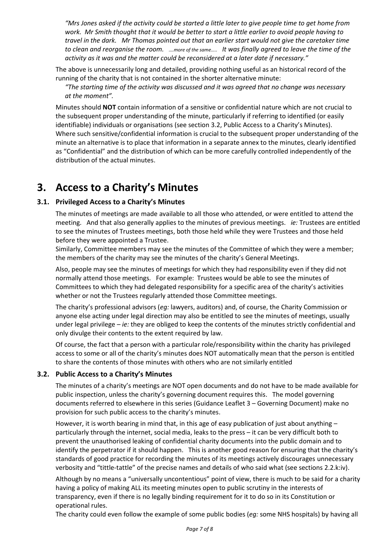*"Mrs Jones asked if the activity could be started a little later to give people time to get home from work. Mr Smith thought that it would be better to start a little earlier to avoid people having to travel in the dark. Mr Thomas pointed out that an earlier start would not give the caretaker time to clean and reorganise the room. ….more of the same….. It was finally agreed to leave the time of the activity as it was and the matter could be reconsidered at a later date if necessary."*

The above is unnecessarily long and detailed, providing nothing useful as an historical record of the running of the charity that is not contained in the shorter alternative minute:

*"The starting time of the activity was discussed and it was agreed that no change was necessary at the moment".*

Minutes should **NOT** contain information of a sensitive or confidential nature which are not crucial to the subsequent proper understanding of the minute, particularly if referring to identified (or easily identifiable) individuals or organisations (see section [3.2,](#page-6-0) [Public Access to a Charity's Minutes](#page-6-0)). Where such sensitive/confidential information is crucial to the subsequent proper understanding of the minute an alternative is to place that information in a separate annex to the minutes, clearly identified as "Confidential" and the distribution of which can be more carefully controlled independently of the distribution of the actual minutes.

## **3. Access to a Charity's Minutes**

#### **3.1. Privileged Access to a Charity's Minutes**

The minutes of meetings are made available to all those who attended, or were entitled to attend the meeting. And that also generally applies to the minutes of previous meetings. *ie:* Trustees are entitled to see the minutes of Trustees meetings, both those held while they were Trustees and those held before they were appointed a Trustee.

Similarly, Committee members may see the minutes of the Committee of which they were a member; the members of the charity may see the minutes of the charity's General Meetings.

Also, people may see the minutes of meetings for which they had responsibility even if they did not normally attend those meetings. For example: Trustees would be able to see the minutes of Committees to which they had delegated responsibility for a specific area of the charity's activities whether or not the Trustees regularly attended those Committee meetings.

The charity's professional advisors (*eg:* lawyers, auditors) and, of course, the Charity Commission or anyone else acting under legal direction may also be entitled to see the minutes of meetings, usually under legal privilege – *ie:* they are obliged to keep the contents of the minutes strictly confidential and only divulge their contents to the extent required by law.

Of course, the fact that a person with a particular role/responsibility within the charity has privileged access to some or all of the charity's minutes does NOT automatically mean that the person is entitled to share the contents of those minutes with others who are not similarly entitled

#### <span id="page-6-0"></span>**3.2. Public Access to a Charity's Minutes**

The minutes of a charity's meetings are NOT open documents and do not have to be made available for public inspection, unless the charity's governing document requires this. The model governing documents referred to elsewhere in this series (Guidance Leaflet 3 – Governing Document) make no provision for such public access to the charity's minutes.

However, it is worth bearing in mind that, in this age of easy publication of just about anything  $$ particularly through the internet, social media, leaks to the press – it can be very difficult both to prevent the unauthorised leaking of confidential charity documents into the public domain and to identify the perpetrator if it should happen. This is another good reason for ensuring that the charity's standards of good practice for recording the minutes of its meetings actively discourages unnecessary verbosity and "tittle-tattle" of the precise names and details of who said what (see sections [2.2.k:iv\).](#page-5-0)

Although by no means a "universally uncontentious" point of view, there is much to be said for a charity having a policy of making ALL its meeting minutes open to public scrutiny in the interests of transparency, even if there is no legally binding requirement for it to do so in its Constitution or operational rules.

The charity could even follow the example of some public bodies (*eg:* some NHS hospitals) by having all